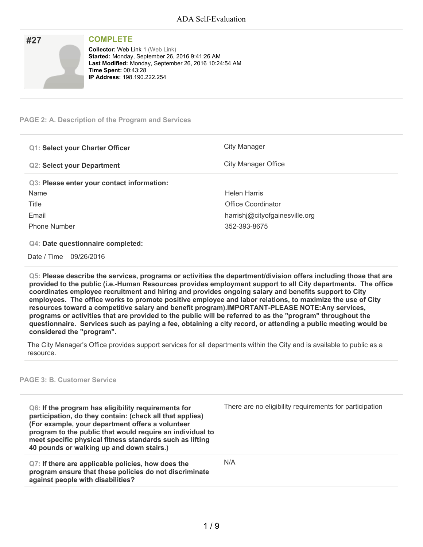| #27 | <b>COMPLETE</b>                                                                                                                                                                                                         |
|-----|-------------------------------------------------------------------------------------------------------------------------------------------------------------------------------------------------------------------------|
|     | <b>Collector: Web Link 1 (Web Link)</b><br>Started: Monday, September 26, 2016 9:41:26 AM<br>Last Modified: Monday, September 26, 2016 10:24:54 AM<br><b>Time Spent: 00:43:28</b><br><b>IP Address: 198.190.222.254</b> |

### **PAGE 2: A. Description of the Program and Services**

| <b>Q1: Select your Charter Officer</b>     | City Manager                   |
|--------------------------------------------|--------------------------------|
| <b>Q2: Select your Department</b>          | City Manager Office            |
| Q3: Please enter your contact information: |                                |
| Name                                       | Helen Harris                   |
| Title                                      | Office Coordinator             |
| Email                                      | harrishj@cityofgainesville.org |
| <b>Phone Number</b>                        | 352-393-8675                   |

#### **Q4: Date questionnaire completed:**

Date / Time 09/26/2016

**Q5: Please describe the services, programs or activities the department/division offers including those that are provided to the public (i.e.-Human Resources provides employment support to all City departments. The office coordinates employee recruitment and hiring and provides ongoing salary and benefits support to City employees. The office works to promote positive employee and labor relations, to maximize the use of City resources toward a competitive salary and benefit program).IMPORTANT-PLEASE NOTE:Any services,** programs or activities that are provided to the public will be referred to as the "program" throughout the questionnaire. Services such as paying a fee, obtaining a city record, or attending a public meeting would be **considered the "program".**

The City Manager's Office provides support services for all departments within the City and is available to public as a resource.

# **PAGE 3: B. Customer Service**

| Q6: If the program has eligibility requirements for<br>participation, do they contain: (check all that applies)<br>(For example, your department offers a volunteer<br>program to the public that would require an individual to<br>meet specific physical fitness standards such as lifting<br>40 pounds or walking up and down stairs.) | There are no eligibility requirements for participation |
|-------------------------------------------------------------------------------------------------------------------------------------------------------------------------------------------------------------------------------------------------------------------------------------------------------------------------------------------|---------------------------------------------------------|
| Q7: If there are applicable policies, how does the<br>program ensure that these policies do not discriminate<br>against people with disabilities?                                                                                                                                                                                         | N/A                                                     |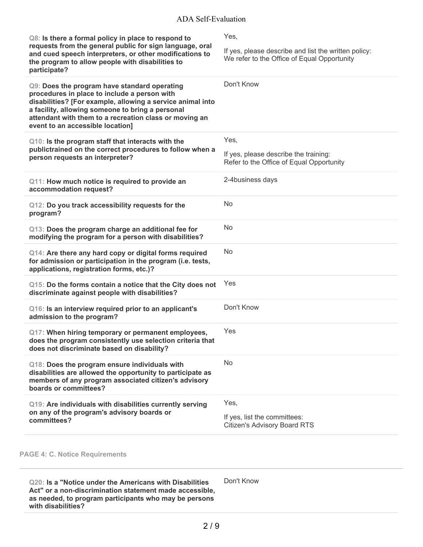| Q8: Is there a formal policy in place to respond to<br>requests from the general public for sign language, oral<br>and cued speech interpreters, or other modifications to<br>the program to allow people with disabilities to<br>participate?                                                               | Yes,<br>If yes, please describe and list the written policy:<br>We refer to the Office of Equal Opportunity |
|--------------------------------------------------------------------------------------------------------------------------------------------------------------------------------------------------------------------------------------------------------------------------------------------------------------|-------------------------------------------------------------------------------------------------------------|
| Q9: Does the program have standard operating<br>procedures in place to include a person with<br>disabilities? [For example, allowing a service animal into<br>a facility, allowing someone to bring a personal<br>attendant with them to a recreation class or moving an<br>event to an accessible location] | Don't Know                                                                                                  |
| Q10: Is the program staff that interacts with the<br>publictrained on the correct procedures to follow when a<br>person requests an interpreter?                                                                                                                                                             | Yes,<br>If yes, please describe the training:<br>Refer to the Office of Equal Opportunity                   |
| Q11: How much notice is required to provide an<br>accommodation request?                                                                                                                                                                                                                                     | 2-4business days                                                                                            |
| Q12: Do you track accessibility requests for the<br>program?                                                                                                                                                                                                                                                 | <b>No</b>                                                                                                   |
| Q13: Does the program charge an additional fee for<br>modifying the program for a person with disabilities?                                                                                                                                                                                                  | N <sub>o</sub>                                                                                              |
| Q14: Are there any hard copy or digital forms required<br>for admission or participation in the program (i.e. tests,<br>applications, registration forms, etc.)?                                                                                                                                             | <b>No</b>                                                                                                   |
| Q15: Do the forms contain a notice that the City does not<br>discriminate against people with disabilities?                                                                                                                                                                                                  | Yes                                                                                                         |
| Q16: Is an interview required prior to an applicant's<br>admission to the program?                                                                                                                                                                                                                           | Don't Know                                                                                                  |
| Q17: When hiring temporary or permanent employees,<br>does the program consistently use selection criteria that<br>does not discriminate based on disability?                                                                                                                                                | Yes                                                                                                         |
| Q18: Does the program ensure individuals with<br>disabilities are allowed the opportunity to participate as<br>members of any program associated citizen's advisory<br>boards or committees?                                                                                                                 | <b>No</b>                                                                                                   |
| Q19: Are individuals with disabilities currently serving<br>on any of the program's advisory boards or<br>committees?                                                                                                                                                                                        | Yes,<br>If yes, list the committees:<br><b>Citizen's Advisory Board RTS</b>                                 |
|                                                                                                                                                                                                                                                                                                              |                                                                                                             |

# **PAGE 4: C. Notice Requirements**

**Q20: Is a "Notice under the Americans with Disabilities Act" or a non-discrimination statement made accessible, as needed, to program participants who may be persons with disabilities?**

Don't Know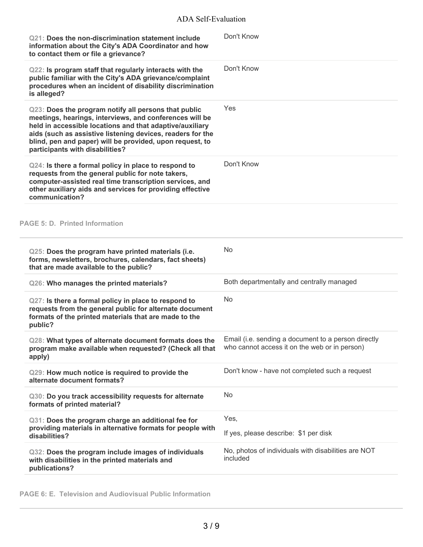| Q21: Does the non-discrimination statement include<br>information about the City's ADA Coordinator and how<br>to contact them or file a grievance?                                                                                                                                                                                       | Don't Know                                                      |
|------------------------------------------------------------------------------------------------------------------------------------------------------------------------------------------------------------------------------------------------------------------------------------------------------------------------------------------|-----------------------------------------------------------------|
| Q22: Is program staff that regularly interacts with the<br>public familiar with the City's ADA grievance/complaint<br>procedures when an incident of disability discrimination<br>is alleged?                                                                                                                                            | Don't Know                                                      |
| Q23: Does the program notify all persons that public<br>meetings, hearings, interviews, and conferences will be<br>held in accessible locations and that adaptive/auxiliary<br>aids (such as assistive listening devices, readers for the<br>blind, pen and paper) will be provided, upon request, to<br>participants with disabilities? | Yes                                                             |
| Q24: Is there a formal policy in place to respond to<br>requests from the general public for note takers,<br>computer-assisted real time transcription services, and<br>other auxiliary aids and services for providing effective<br>communication?                                                                                      | Don't Know                                                      |
| <b>PAGE 5: D. Printed Information</b>                                                                                                                                                                                                                                                                                                    |                                                                 |
| Q25: Does the program have printed materials (i.e.<br>forms, newsletters, brochures, calendars, fact sheets)<br>that are made available to the public?                                                                                                                                                                                   | <b>No</b>                                                       |
| Q26: Who manages the printed materials?                                                                                                                                                                                                                                                                                                  | Both departmentally and centrally managed                       |
| Q27: Is there a formal policy in place to respond to<br>requests from the general public for alternate document<br>formats of the printed materials that are made to the<br>public?                                                                                                                                                      | <b>No</b>                                                       |
| Q28: What types of alternate document formats does the Email (i.e. sending a document to a person directly<br>program make available when requested? (Check all that<br>apply)                                                                                                                                                           | who cannot access it on the web or in person)                   |
| Q29: How much notice is required to provide the<br>alternate document formats?                                                                                                                                                                                                                                                           | Don't know - have not completed such a request                  |
| Q30: Do you track accessibility requests for alternate<br>formats of printed material?                                                                                                                                                                                                                                                   | No                                                              |
| Q31: Does the program charge an additional fee for<br>providing materials in alternative formats for people with<br>disabilities?                                                                                                                                                                                                        | Yes,<br>If yes, please describe: \$1 per disk                   |
| Q32: Does the program include images of individuals<br>with disabilities in the printed materials and<br>publications?                                                                                                                                                                                                                   | No, photos of individuals with disabilities are NOT<br>included |

**PAGE 6: E. Television and Audiovisual Public Information**

÷,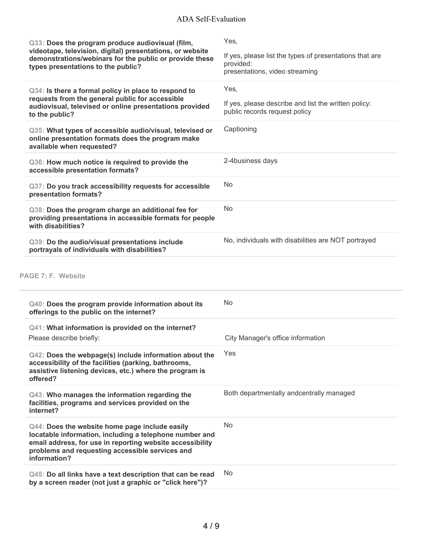| Q33: Does the program produce audiovisual (film,<br>videotape, television, digital) presentations, or website<br>demonstrations/webinars for the public or provide these<br>types presentations to the public?                            | Yes,<br>If yes, please list the types of presentations that are<br>provided:<br>presentations, video streaming |
|-------------------------------------------------------------------------------------------------------------------------------------------------------------------------------------------------------------------------------------------|----------------------------------------------------------------------------------------------------------------|
| Q34: Is there a formal policy in place to respond to<br>requests from the general public for accessible<br>audiovisual, televised or online presentations provided<br>to the public?                                                      | Yes,<br>If yes, please describe and list the written policy:<br>public records request policy                  |
| Q35: What types of accessible audio/visual, televised or<br>online presentation formats does the program make<br>available when requested?                                                                                                | Captioning                                                                                                     |
| Q36: How much notice is required to provide the<br>accessible presentation formats?                                                                                                                                                       | 2-4business days                                                                                               |
| Q37: Do you track accessibility requests for accessible<br>presentation formats?                                                                                                                                                          | <b>No</b>                                                                                                      |
| Q38: Does the program charge an additional fee for<br>providing presentations in accessible formats for people<br>with disabilities?                                                                                                      | <b>No</b>                                                                                                      |
| Q39: Do the audio/visual presentations include<br>portrayals of individuals with disabilities?                                                                                                                                            | No, individuals with disabilities are NOT portrayed                                                            |
| PAGE 7: F. Website                                                                                                                                                                                                                        | <b>No</b>                                                                                                      |
| Q40: Does the program provide information about its<br>offerings to the public on the internet?                                                                                                                                           |                                                                                                                |
| Q41: What information is provided on the internet?<br>Please describe briefly:                                                                                                                                                            | City Manager's office information                                                                              |
| Q42: Does the webpage(s) include information about the<br>accessibility of the facilities (parking, bathrooms,<br>assistive listening devices, etc.) where the program is<br>offered?                                                     | Yes                                                                                                            |
| Q43: Who manages the information regarding the<br>facilities, programs and services provided on the<br>internet?                                                                                                                          | Both departmentally andcentrally managed                                                                       |
| Q44: Does the website home page include easily<br>locatable information, including a telephone number and<br>email address, for use in reporting website accessibility<br>problems and requesting accessible services and<br>information? | <b>No</b>                                                                                                      |
| Q45: Do all links have a text description that can be read<br>by a screen reader (not just a graphic or "click here")?                                                                                                                    | No.                                                                                                            |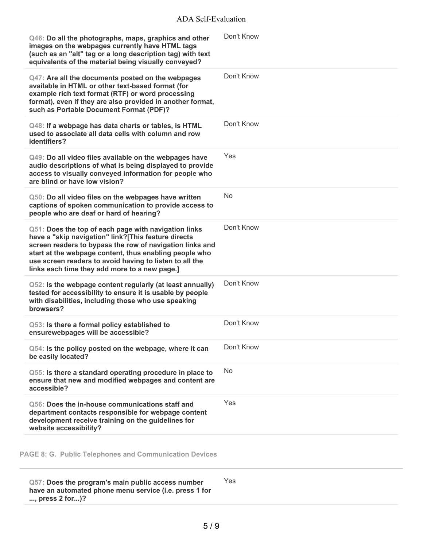| Q46: Do all the photographs, maps, graphics and other<br>images on the webpages currently have HTML tags<br>(such as an "alt" tag or a long description tag) with text<br>equivalents of the material being visually conveyed?                                                                                                                | Don't Know |
|-----------------------------------------------------------------------------------------------------------------------------------------------------------------------------------------------------------------------------------------------------------------------------------------------------------------------------------------------|------------|
| Q47: Are all the documents posted on the webpages<br>available in HTML or other text-based format (for<br>example rich text format (RTF) or word processing<br>format), even if they are also provided in another format,<br>such as Portable Document Format (PDF)?                                                                          | Don't Know |
| Q48: If a webpage has data charts or tables, is HTML<br>used to associate all data cells with column and row<br>identifiers?                                                                                                                                                                                                                  | Don't Know |
| Q49: Do all video files available on the webpages have<br>audio descriptions of what is being displayed to provide<br>access to visually conveyed information for people who<br>are blind or have low vision?                                                                                                                                 | Yes        |
| Q50: Do all video files on the webpages have written<br>captions of spoken communication to provide access to<br>people who are deaf or hard of hearing?                                                                                                                                                                                      | No         |
| Q51: Does the top of each page with navigation links<br>have a "skip navigation" link?[This feature directs<br>screen readers to bypass the row of navigation links and<br>start at the webpage content, thus enabling people who<br>use screen readers to avoid having to listen to all the<br>links each time they add more to a new page.] | Don't Know |
| Q52: Is the webpage content regularly (at least annually)<br>tested for accessibility to ensure it is usable by people<br>with disabilities, including those who use speaking<br>browsers?                                                                                                                                                    | Don't Know |
| Q53: Is there a formal policy established to<br>ensurewebpages will be accessible?                                                                                                                                                                                                                                                            | Don't Know |
| Q54: Is the policy posted on the webpage, where it can<br>be easily located?                                                                                                                                                                                                                                                                  | Don't Know |
| Q55: Is there a standard operating procedure in place to<br>ensure that new and modified webpages and content are<br>accessible?                                                                                                                                                                                                              | No         |
| Q56: Does the in-house communications staff and<br>department contacts responsible for webpage content<br>development receive training on the guidelines for<br>website accessibility?                                                                                                                                                        | Yes        |
|                                                                                                                                                                                                                                                                                                                                               |            |

**PAGE 8: G. Public Telephones and Communication Devices**

**Q57: Does the program's main public access number have an automated phone menu service (i.e. press 1 for ..., press 2 for...)?** Yes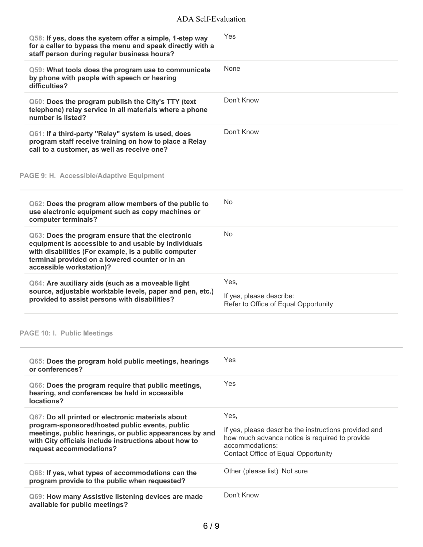| Q58: If yes, does the system offer a simple, 1-step way<br>for a caller to bypass the menu and speak directly with a<br>staff person during regular business hours?                                                                             | Yes                                                                                                                                                               |
|-------------------------------------------------------------------------------------------------------------------------------------------------------------------------------------------------------------------------------------------------|-------------------------------------------------------------------------------------------------------------------------------------------------------------------|
| Q59: What tools does the program use to communicate<br>by phone with people with speech or hearing<br>difficulties?                                                                                                                             | None                                                                                                                                                              |
| Q60: Does the program publish the City's TTY (text<br>telephone) relay service in all materials where a phone<br>number is listed?                                                                                                              | Don't Know                                                                                                                                                        |
| Q61: If a third-party "Relay" system is used, does<br>program staff receive training on how to place a Relay<br>call to a customer, as well as receive one?                                                                                     | Don't Know                                                                                                                                                        |
| <b>PAGE 9: H. Accessible/Adaptive Equipment</b>                                                                                                                                                                                                 |                                                                                                                                                                   |
| Q62: Does the program allow members of the public to<br>use electronic equipment such as copy machines or<br>computer terminals?                                                                                                                | No                                                                                                                                                                |
| Q63: Does the program ensure that the electronic<br>equipment is accessible to and usable by individuals<br>with disabilities (For example, is a public computer<br>terminal provided on a lowered counter or in an<br>accessible workstation)? | <b>No</b>                                                                                                                                                         |
| Q64: Are auxiliary aids (such as a moveable light<br>source, adjustable worktable levels, paper and pen, etc.)<br>provided to assist persons with disabilities?                                                                                 | Yes,<br>If yes, please describe:<br>Refer to Office of Equal Opportunity                                                                                          |
| <b>PAGE 10: I. Public Meetings</b>                                                                                                                                                                                                              |                                                                                                                                                                   |
| Q65: Does the program hold public meetings, hearings<br>or conferences?                                                                                                                                                                         | Yes                                                                                                                                                               |
| Q66: Does the program require that public meetings,<br>hearing, and conferences be held in accessible<br>locations?                                                                                                                             | <b>Yes</b>                                                                                                                                                        |
| Q67: Do all printed or electronic materials about                                                                                                                                                                                               | Yes,                                                                                                                                                              |
| program-sponsored/hosted public events, public<br>meetings, public hearings, or public appearances by and<br>with City officials include instructions about how to<br>request accommodations?                                                   | If yes, please describe the instructions provided and<br>how much advance notice is required to provide<br>accommodations:<br>Contact Office of Equal Opportunity |
| Q68: If yes, what types of accommodations can the<br>program provide to the public when requested?                                                                                                                                              | Other (please list) Not sure                                                                                                                                      |
| Q69: How many Assistive listening devices are made<br>available for public meetings?                                                                                                                                                            | Don't Know                                                                                                                                                        |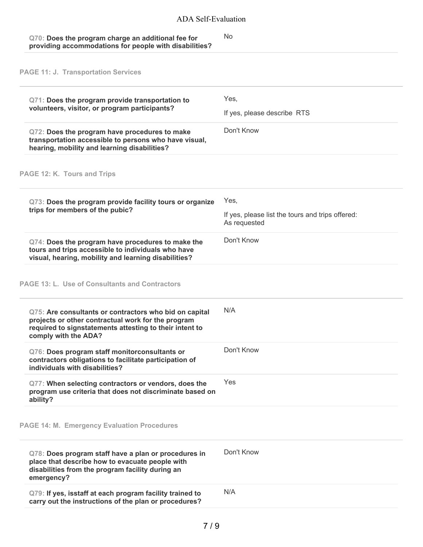| Q70: Does the program charge an additional fee for     | No. |
|--------------------------------------------------------|-----|
| providing accommodations for people with disabilities? |     |

**PAGE 11: J. Transportation Services**

| Q71: Does the program provide transportation to<br>volunteers, visitor, or program participants?                                                                                                | Yes,<br>If yes, please describe RTS                                      |
|-------------------------------------------------------------------------------------------------------------------------------------------------------------------------------------------------|--------------------------------------------------------------------------|
| Q72: Does the program have procedures to make<br>transportation accessible to persons who have visual,<br>hearing, mobility and learning disabilities?                                          | Don't Know                                                               |
| PAGE 12: K. Tours and Trips                                                                                                                                                                     |                                                                          |
| Q73: Does the program provide facility tours or organize<br>trips for members of the pubic?                                                                                                     | Yes,<br>If yes, please list the tours and trips offered:<br>As requested |
| Q74: Does the program have procedures to make the<br>tours and trips accessible to individuals who have<br>visual, hearing, mobility and learning disabilities?                                 | Don't Know                                                               |
| <b>PAGE 13: L. Use of Consultants and Contractors</b>                                                                                                                                           |                                                                          |
| Q75: Are consultants or contractors who bid on capital<br>projects or other contractual work for the program<br>required to signstatements attesting to their intent to<br>comply with the ADA? | N/A                                                                      |
| Q76: Does program staff monitorconsultants or<br>contractors obligations to facilitate participation of<br>individuals with disabilities?                                                       | Don't Know                                                               |
| Q77: When selecting contractors or vendors, does the<br>program use criteria that does not discriminate based on<br>ability?                                                                    | Yes                                                                      |
| <b>PAGE 14: M. Emergency Evaluation Procedures</b>                                                                                                                                              |                                                                          |
| Q78: Does program staff have a plan or procedures in<br>place that describe how to evacuate people with<br>disabilities from the program facility during an<br>emergency?                       | Don't Know                                                               |
| Q79: If yes, isstaff at each program facility trained to<br>carry out the instructions of the plan or procedures?                                                                               | N/A                                                                      |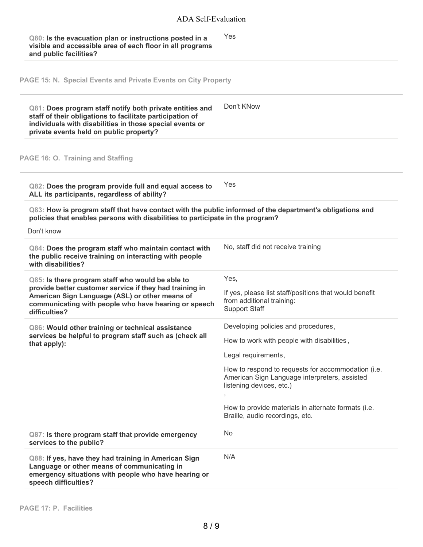# ADA Self-Evaluation

| Q80: Is the evacuation plan or instructions posted in a   | <b>Yes</b> |
|-----------------------------------------------------------|------------|
| visible and accessible area of each floor in all programs |            |
| and public facilities?                                    |            |

**PAGE 15: N. Special Events and Private Events on City Property**

| Q81: Does program staff notify both private entities and<br>staff of their obligations to facilitate participation of<br>individuals with disabilities in those special events or<br>private events held on public property?           | Don't KNow                                                                                                                                                                                                                                                                                                                                    |
|----------------------------------------------------------------------------------------------------------------------------------------------------------------------------------------------------------------------------------------|-----------------------------------------------------------------------------------------------------------------------------------------------------------------------------------------------------------------------------------------------------------------------------------------------------------------------------------------------|
| PAGE 16: O. Training and Staffing                                                                                                                                                                                                      |                                                                                                                                                                                                                                                                                                                                               |
| Q82: Does the program provide full and equal access to<br>ALL its participants, regardless of ability?                                                                                                                                 | Yes                                                                                                                                                                                                                                                                                                                                           |
| Q83: How is program staff that have contact with the public informed of the department's obligations and<br>policies that enables persons with disabilities to participate in the program?<br>Don't know                               |                                                                                                                                                                                                                                                                                                                                               |
| Q84: Does the program staff who maintain contact with<br>the public receive training on interacting with people<br>with disabilities?                                                                                                  | No, staff did not receive training                                                                                                                                                                                                                                                                                                            |
| Q85: Is there program staff who would be able to<br>provide better customer service if they had training in<br>American Sign Language (ASL) or other means of<br>communicating with people who have hearing or speech<br>difficulties? | Yes,<br>If yes, please list staff/positions that would benefit<br>from additional training:<br><b>Support Staff</b>                                                                                                                                                                                                                           |
| Q86: Would other training or technical assistance<br>services be helpful to program staff such as (check all<br>that apply):                                                                                                           | Developing policies and procedures,<br>How to work with people with disabilities,<br>Legal requirements,<br>How to respond to requests for accommodation (i.e.<br>American Sign Language interpreters, assisted<br>listening devices, etc.)<br>$\,$<br>How to provide materials in alternate formats (i.e.<br>Braille, audio recordings, etc. |
| Q87: Is there program staff that provide emergency<br>services to the public?                                                                                                                                                          | No                                                                                                                                                                                                                                                                                                                                            |
| Q88: If yes, have they had training in American Sign<br>Language or other means of communicating in<br>emergency situations with people who have hearing or<br>speech difficulties?                                                    | N/A                                                                                                                                                                                                                                                                                                                                           |